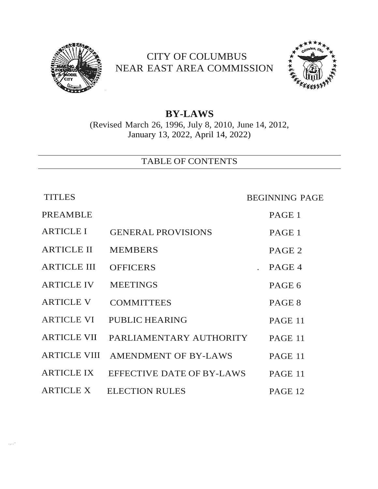

# CITY OF COLUMBUS NEAR EAST AREA COMMISSION



## **BY-LAWS** (Revised March 26, 1996, July 8, 2010, June 14, 2012, January 13, 2022, April 14, 2022)

TABLE OF CONTENTS

.,..-

TITLES BEGINNING PAGE

| <b>PREAMBLE</b>     |                           | PAGE 1            |
|---------------------|---------------------------|-------------------|
| <b>ARTICLE I</b>    | <b>GENERAL PROVISIONS</b> | PAGE 1            |
| <b>ARTICLE II</b>   | <b>MEMBERS</b>            | PAGE <sub>2</sub> |
| <b>ARTICLE III</b>  | <b>OFFICERS</b>           | PAGE 4            |
| <b>ARTICLE IV</b>   | <b>MEETINGS</b>           | PAGE 6            |
| <b>ARTICLE V</b>    | <b>COMMITTEES</b>         | PAGE 8            |
| <b>ARTICLE VI</b>   | <b>PUBLIC HEARING</b>     | PAGE 11           |
| <b>ARTICLE VII</b>  | PARLIAMENTARY AUTHORITY   | PAGE 11           |
| <b>ARTICLE VIII</b> | AMENDMENT OF BY-LAWS      | PAGE 11           |
| ARTICLE IX          | EFFECTIVE DATE OF BY-LAWS | PAGE 11           |
| <b>ARTICLE X</b>    | <b>ELECTION RULES</b>     | PAGE 12           |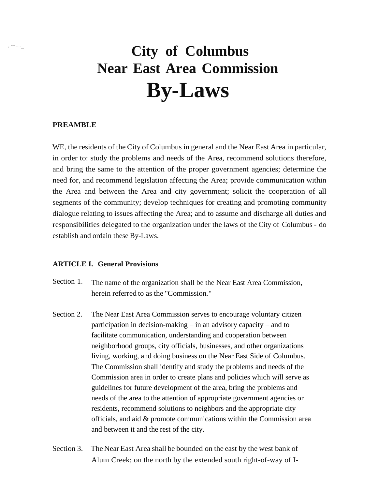# ,.---....\_ **City of Columbus Near East Area Commission By-Laws**

#### **PREAMBLE**

WE, the residents of the City of Columbus in general and the Near East Area in particular, in order to: study the problems and needs of the Area, recommend solutions therefore, and bring the same to the attention of the proper government agencies; determine the need for, and recommend legislation affecting the Area; provide communication within the Area and between the Area and city government; solicit the cooperation of all segments of the community; develop techniques for creating and promoting community dialogue relating to issues affecting the Area; and to assume and discharge all duties and responsibilities delegated to the organization under the laws of theCity of Columbus - do establish and ordain these By-Laws.

#### **ARTICLE I. General Provisions**

- Section 1. The name of the organization shall be the Near East Area Commission, herein referred to as the "Commission."
- Section 2. The Near East Area Commission serves to encourage voluntary citizen participation in decision-making – in an advisory capacity – and to facilitate communication, understanding and cooperation between neighborhood groups, city officials, businesses, and other organizations living, working, and doing business on the Near East Side of Columbus. The Commission shall identify and study the problems and needs of the Commission area in order to create plans and policies which will serve as guidelines for future development of the area, bring the problems and needs of the area to the attention of appropriate government agencies or residents, recommend solutions to neighbors and the appropriate city officials, and aid & promote communications within the Commission area and between it and the rest of the city.
- Section 3. The Near East Area shall be bounded on the east by the west bank of Alum Creek; on the north by the extended south right-of-way of I-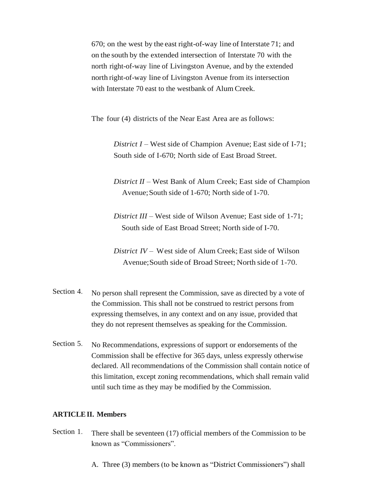670; on the west by the east right-of-way line of Interstate 71; and on the south by the extended intersection of Interstate 70 with the north right-of-way line of Livingston Avenue, and by the extended north right-of-way line of Livingston Avenue from its intersection with Interstate 70 east to the westbank of Alum Creek.

The four (4) districts of the Near East Area are as follows:

*District I* – West side of Champion Avenue; East side of I-71; South side of I-670; North side of East Broad Street.

*District II* – West Bank of Alum Creek; East side of Champion Avenue; South side of  $1-670$ ; North side of  $1-70$ .

*District III* – West side of Wilson Avenue; East side of 1-71; South side of East Broad Street; North side of I-70.

*District IV* – West side of Alum Creek; East side of Wilson Avenue;South side of Broad Street; North side of 1-70.

- Section 4. No person shall represent the Commission, save as directed by a vote of the Commission. This shall not be construed to restrict persons from expressing themselves, in any context and on any issue, provided that they do not represent themselves as speaking for the Commission.
- Section 5. No Recommendations, expressions of support or endorsements of the Commission shall be effective for 365 days, unless expressly otherwise declared. All recommendations of the Commission shall contain notice of this limitation, except zoning recommendations, which shall remain valid until such time as they may be modified by the Commission.

#### **ARTICLEII. Members**

- Section 1. There shall be seventeen (17) official members of the Commission to be known as "Commissioners".
	- A. Three (3) members (to be known as "District Commissioners") shall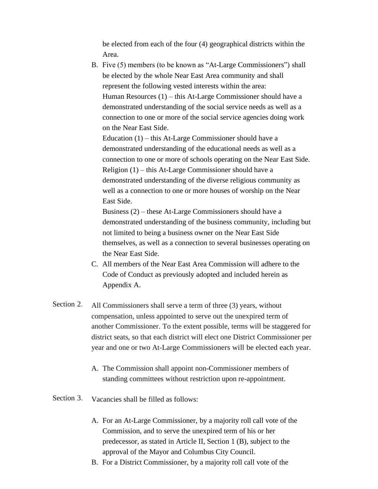be elected from each of the four (4) geographical districts within the Area.

B. Five (5) members (to be known as "At-Large Commissioners") shall be elected by the whole Near East Area community and shall represent the following vested interests within the area: Human Resources (1) – this At-Large Commissioner should have a demonstrated understanding of the social service needs as well as a connection to one or more of the social service agencies doing work on the Near East Side.

Education (1) – this At-Large Commissioner should have a demonstrated understanding of the educational needs as well as a connection to one or more of schools operating on the Near East Side. Religion (1) – this At-Large Commissioner should have a demonstrated understanding of the diverse religious community as well as a connection to one or more houses of worship on the Near East Side.

Business (2) – these At-Large Commissioners should have a demonstrated understanding of the business community, including but not limited to being a business owner on the Near East Side themselves, as well as a connection to several businesses operating on the Near East Side.

- C. All members of the Near East Area Commission will adhere to the Code of Conduct as previously adopted and included herein as Appendix A.
- Section 2. All Commissioners shall serve a term of three (3) years, without compensation, unless appointed to serve out the unexpired term of another Commissioner. To the extent possible, terms will be staggered for district seats, so that each district will elect one District Commissioner per year and one or two At-Large Commissioners will be elected each year.
	- A. The Commission shall appoint non-Commissioner members of standing committees without restriction upon re-appointment.
- Section 3. Vacancies shall be filled as follows:
	- A. For an At-Large Commissioner, by a majority roll call vote of the Commission, and to serve the unexpired term of his or her predecessor, as stated in Article II, Section 1 (B), subject to the approval of the Mayor and Columbus City Council.
	- B. For a District Commissioner, by a majority roll call vote of the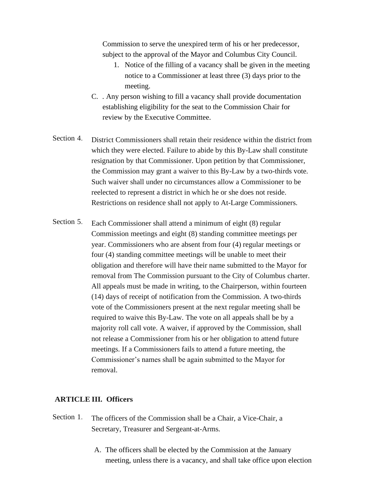Commission to serve the unexpired term of his or her predecessor, subject to the approval of the Mayor and Columbus City Council.

- 1. Notice of the filling of a vacancy shall be given in the meeting notice to a Commissioner at least three (3) days prior to the meeting.
- C. . Any person wishing to fill a vacancy shall provide documentation establishing eligibility for the seat to the Commission Chair for review by the Executive Committee.
- Section 4. District Commissioners shall retain their residence within the district from which they were elected. Failure to abide by this By-Law shall constitute resignation by that Commissioner. Upon petition by that Commissioner, the Commission may grant a waiver to this By-Law by a two-thirds vote. Such waiver shall under no circumstances allow a Commissioner to be reelected to represent a district in which he or she does not reside. Restrictions on residence shall not apply to At-Large Commissioners.
- Section 5. Each Commissioner shall attend a minimum of eight (8) regular Commission meetings and eight (8) standing committee meetings per year. Commissioners who are absent from four (4) regular meetings or four (4) standing committee meetings will be unable to meet their obligation and therefore will have their name submitted to the Mayor for removal from The Commission pursuant to the City of Columbus charter. All appeals must be made in writing, to the Chairperson, within fourteen (14) days of receipt of notification from the Commission. A two-thirds vote of the Commissioners present at the next regular meeting shall be required to waive this By-Law. The vote on all appeals shall be by a majority roll call vote. A waiver, if approved by the Commission, shall not release a Commissioner from his or her obligation to attend future meetings. If a Commissioners fails to attend a future meeting, the Commissioner's names shall be again submitted to the Mayor for removal.

### **ARTICLE III. Officers**

- Section 1. The officers of the Commission shall be a Chair, a Vice-Chair, a Secretary, Treasurer and Sergeant-at-Arms.
	- A. The officers shall be elected by the Commission at the January meeting, unless there is a vacancy, and shall take office upon election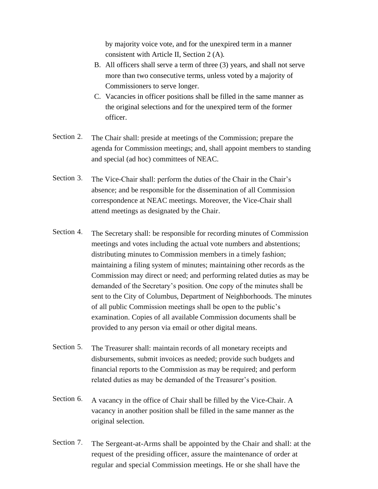by majority voice vote, and for the unexpired term in a manner consistent with Article II, Section 2 (A).

- B. All officers shall serve a term of three (3) years, and shall not serve more than two consecutive terms, unless voted by a majority of Commissioners to serve longer.
- C. Vacancies in officer positions shall be filled in the same manner as the original selections and for the unexpired term of the former officer.
- Section 2. The Chair shall: preside at meetings of the Commission; prepare the agenda for Commission meetings; and, shall appoint members to standing and special (ad hoc) committees of NEAC.
- Section 3. The Vice-Chair shall: perform the duties of the Chair in the Chair's absence; and be responsible for the dissemination of all Commission correspondence at NEAC meetings. Moreover, the Vice-Chair shall attend meetings as designated by the Chair.
- Section 4. The Secretary shall: be responsible for recording minutes of Commission meetings and votes including the actual vote numbers and abstentions; distributing minutes to Commission members in a timely fashion; maintaining a filing system of minutes; maintaining other records as the Commission may direct or need; and performing related duties as may be demanded of the Secretary's position. One copy of the minutes shall be sent to the City of Columbus, Department of Neighborhoods. The minutes of all public Commission meetings shall be open to the public's examination. Copies of all available Commission documents shall be provided to any person via email or other digital means.
- Section 5. The Treasurer shall: maintain records of all monetary receipts and disbursements, submit invoices as needed; provide such budgets and financial reports to the Commission as may be required; and perform related duties as may be demanded of the Treasurer's position.
- Section 6. A vacancy in the office of Chair shall be filled by the Vice-Chair. A vacancy in another position shall be filled in the same manner as the original selection.
- Section 7. The Sergeant-at-Arms shall be appointed by the Chair and shall: at the request of the presiding officer, assure the maintenance of order at regular and special Commission meetings. He or she shall have the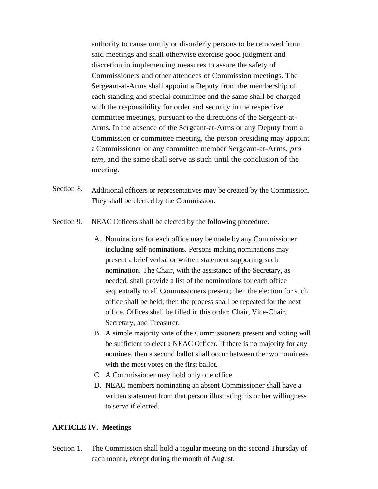authority to cause unruly or disorderly persons to be removed from said meetings and shall otherwise exercise good judgment and discretion in implementing measures to assure the safety of Commissioners and other attendees of Commission meetings. The Sergeant-at-Arms shall appoint a Deputy from the membership of each standing and special committee and the same shall be charged with the responsibility for order and security in the respective committee meetings, pursuant to the directions of the Sergeant-at-Arms. In the absence of the Sergeant-at-Arms or any Deputy from a Commission or committee meeting, the person presiding may appoint a Commissioner or any committee member Sergeant-at-Arms, *pro tem,* and the same shall serve as such until the conclusion of the meeting.

- Section 8. Additional officers or representatives may be created by the Commission. They shall be elected by the Commission.
- Section 9. NEAC Officers shall be elected by the following procedure.
	- A. Nominations for each office may be made by any Commissioner including self-nominations. Persons making nominations may present a brief verbal or written statement supporting such nomination. The Chair, with the assistance of the Secretary, as needed, shall provide a list of the nominations for each office sequentially to all Commissioners present; then the election for such office shall be held; then the process shall be repeated for the next office. Offices shall be filled in this order: Chair, Vice-Chair, Secretary, and Treasurer.
	- B. A simple majority vote of the Commissioners present and voting will be sufficient to elect a NEAC Officer. If there is no majority for any nominee, then a second ballot shall occur between the two nominees with the most votes on the first ballot.
	- C. A Commissioner may hold only one office.
	- D. NEAC members nominating an absent Commissioner shall have a written statement from that person illustrating his or her willingness to serve if elected.

#### **ARTICLE IV. Meetings**

Section 1. The Commission shall hold a regular meeting on the second Thursday of each month, except during the month of August.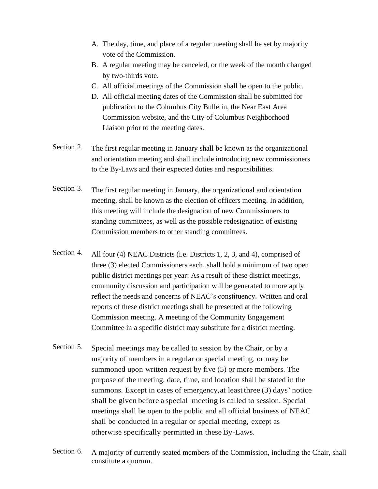- A. The day, time, and place of a regular meeting shall be set by majority vote of the Commission.
- B. A regular meeting may be canceled, or the week of the month changed by two-thirds vote.
- C. All official meetings of the Commission shall be open to the public.
- D. All official meeting dates of the Commission shall be submitted for publication to the Columbus City Bulletin, the Near East Area Commission website, and the City of Columbus Neighborhood Liaison prior to the meeting dates.
- Section 2. The first regular meeting in January shall be known as the organizational and orientation meeting and shall include introducing new commissioners to the By-Laws and their expected duties and responsibilities.
- Section 3. The first regular meeting in January, the organizational and orientation meeting, shall be known as the election of officers meeting. In addition, this meeting will include the designation of new Commissioners to standing committees, as well as the possible redesignation of existing Commission members to other standing committees.
- Section 4. All four (4) NEAC Districts (i.e. Districts 1, 2, 3, and 4), comprised of three (3) elected Commissioners each, shall hold a minimum of two open public district meetings per year: As a result of these district meetings, community discussion and participation will be generated to more aptly reflect the needs and concerns of NEAC's constituency. Written and oral reports of these district meetings shall be presented at the following Commission meeting. A meeting of the Community Engagement Committee in a specific district may substitute for a district meeting.
- Section 5. Special meetings may be called to session by the Chair, or by a majority of members in a regular or special meeting, or may be summoned upon written request by five (5) or more members. The purpose of the meeting, date, time, and location shall be stated in the summons. Except in cases of emergency,at least three (3) days' notice shall be given before a special meeting is called to session. Special meetings shall be open to the public and all official business of NEAC shall be conducted in a regular or special meeting, except as otherwise specifically permitted in theseBy-Laws.
- Section 6. A majority of currently seated members of the Commission, including the Chair, shall constitute a quorum.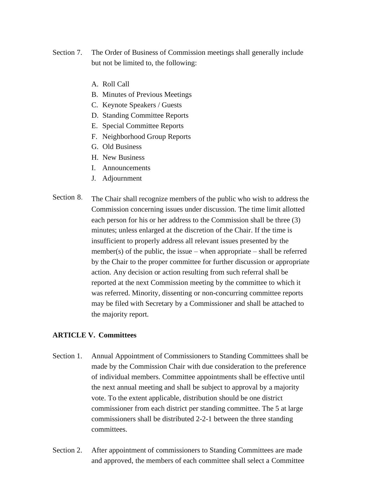- Section 7. The Order of Business of Commission meetings shall generally include but not be limited to, the following:
	- A. Roll Call
	- B. Minutes of Previous Meetings
	- C. Keynote Speakers / Guests
	- D. Standing Committee Reports
	- E. Special Committee Reports
	- F. Neighborhood Group Reports
	- G. Old Business
	- H. New Business
	- I. Announcements
	- J. Adjournment
- Section 8. The Chair shall recognize members of the public who wish to address the Commission concerning issues under discussion. The time limit allotted each person for his or her address to the Commission shall be three (3) minutes; unless enlarged at the discretion of the Chair. If the time is insufficient to properly address all relevant issues presented by the member(s) of the public, the issue – when appropriate – shall be referred by the Chair to the proper committee for further discussion or appropriate action. Any decision or action resulting from such referral shall be reported at the next Commission meeting by the committee to which it was referred. Minority, dissenting or non-concurring committee reports may be filed with Secretary by a Commissioner and shall be attached to the majority report.

#### **ARTICLE V. Committees**

- Section 1. Annual Appointment of Commissioners to Standing Committees shall be made by the Commission Chair with due consideration to the preference of individual members. Committee appointments shall be effective until the next annual meeting and shall be subject to approval by a majority vote. To the extent applicable, distribution should be one district commissioner from each district per standing committee. The 5 at large commissioners shall be distributed 2-2-1 between the three standing committees.
- Section 2. After appointment of commissioners to Standing Committees are made and approved, the members of each committee shall select a Committee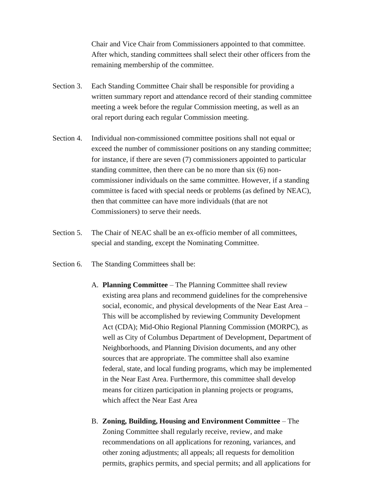Chair and Vice Chair from Commissioners appointed to that committee. After which, standing committees shall select their other officers from the remaining membership of the committee.

- Section 3. Each Standing Committee Chair shall be responsible for providing a written summary report and attendance record of their standing committee meeting a week before the regular Commission meeting, as well as an oral report during each regular Commission meeting.
- Section 4. Individual non-commissioned committee positions shall not equal or exceed the number of commissioner positions on any standing committee; for instance, if there are seven (7) commissioners appointed to particular standing committee, then there can be no more than six (6) noncommissioner individuals on the same committee. However, if a standing committee is faced with special needs or problems (as defined by NEAC), then that committee can have more individuals (that are not Commissioners) to serve their needs.
- Section 5. The Chair of NEAC shall be an ex-officio member of all committees, special and standing, except the Nominating Committee.
- Section 6. The Standing Committees shall be:
	- A. **Planning Committee** The Planning Committee shall review existing area plans and recommend guidelines for the comprehensive social, economic, and physical developments of the Near East Area – This will be accomplished by reviewing Community Development Act (CDA); Mid-Ohio Regional Planning Commission (MORPC), as well as City of Columbus Department of Development, Department of Neighborhoods, and Planning Division documents, and any other sources that are appropriate. The committee shall also examine federal, state, and local funding programs, which may be implemented in the Near East Area. Furthermore, this committee shall develop means for citizen participation in planning projects or programs, which affect the Near East Area
	- B. **Zoning, Building, Housing and Environment Committee** The Zoning Committee shall regularly receive, review, and make recommendations on all applications for rezoning, variances, and other zoning adjustments; all appeals; all requests for demolition permits, graphics permits, and special permits; and all applications for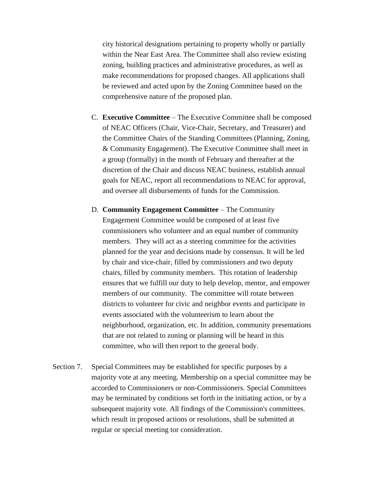city historical designations pertaining to property wholly or partially within the Near East Area. The Committee shall also review existing zoning, building practices and administrative procedures, as well as make recommendations for proposed changes. All applications shall be reviewed and acted upon by the Zoning Committee based on the comprehensive nature of the proposed plan.

- C. **Executive Committee** The Executive Committee shall be composed of NEAC Officers (Chair, Vice-Chair, Secretary, and Treasurer) and the Committee Chairs of the Standing Committees (Planning, Zoning, & Community Engagement). The Executive Committee shall meet in a group (formally) in the month of February and thereafter at the discretion of the Chair and discuss NEAC business, establish annual goals for NEAC, report all recommendations to NEAC for approval, and oversee all disbursements of funds for the Commission.
- D. **Community Engagement Committee** The Community Engagement Committee would be composed of at least five commissioners who volunteer and an equal number of community members. They will act as a steering committee for the activities planned for the year and decisions made by consensus. It will be led by chair and vice-chair, filled by commissioners and two deputy chairs, filled by community members. This rotation of leadership ensures that we fulfill our duty to help develop, mentor, and empower members of our community. The committee will rotate between districts to volunteer for civic and neighbor events and participate in events associated with the volunteerism to learn about the neighborhood, organization, etc. In addition, community presentations that are not related to zoning or planning will be heard in this committee, who will then report to the general body.
- Section 7. Special Committees may be established for specific purposes by a majority vote at any meeting. Membership on a special committee may be accorded to Commissioners or non-Commissioners. Special Committees may be terminated by conditions set forth in the initiating action, or by a subsequent majority vote. All findings of the Commission's committees. which result in proposed actions or resolutions, shall be submitted at regular or special meeting tor consideration.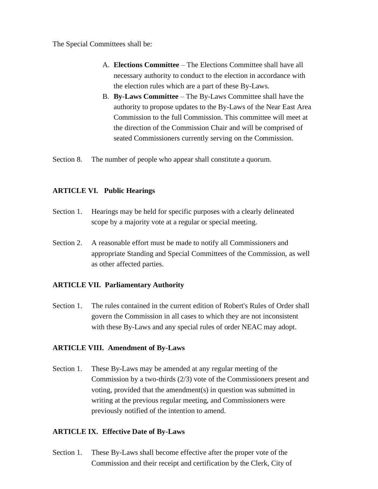The Special Committees shall be:

- A. **Elections Committee** The Elections Committee shall have all necessary authority to conduct to the election in accordance with the election rules which are a part of these By-Laws.
- B. **By-Laws Committee** The By-Laws Committee shall have the authority to propose updates to the By-Laws of the Near East Area Commission to the full Commission. This committee will meet at the direction of the Commission Chair and will be comprised of seated Commissioners currently serving on the Commission.

Section 8. The number of people who appear shall constitute a quorum.

### **ARTICLE VI. Public Hearings**

- Section 1. Hearings may be held for specific purposes with a clearly delineated scope by a majority vote at a regular or special meeting.
- Section 2. A reasonable effort must be made to notify all Commissioners and appropriate Standing and Special Committees of the Commission, as well as other affected parties.

### **ARTICLE VII. Parliamentary Authority**

Section 1. The rules contained in the current edition of Robert's Rules of Order shall govern the Commission in all cases to which they are not inconsistent with these By-Laws and any special rules of order NEAC may adopt.

### **ARTICLE VIII. Amendment of By-Laws**

Section 1. These By-Laws may be amended at any regular meeting of the Commission by a two-thirds (2/3) vote of the Commissioners present and voting, provided that the amendment(s) in question was submitted in writing at the previous regular meeting, and Commissioners were previously notified of the intention to amend.

#### **ARTICLE IX. Effective Date of By-Laws**

Section 1. These By-Laws shall become effective after the proper vote of the Commission and their receipt and certification by the Clerk, City of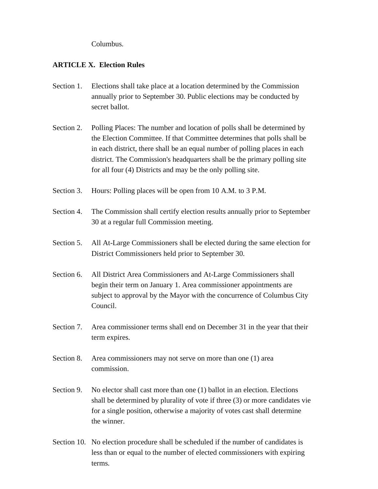Columbus.

### **ARTICLE X. Election Rules**

- Section 1. Elections shall take place at a location determined by the Commission annually prior to September 30. Public elections may be conducted by secret ballot.
- Section 2. Polling Places: The number and location of polls shall be determined by the Election Committee. If that Committee determines that polls shall be in each district, there shall be an equal number of polling places in each district. The Commission's headquarters shall be the primary polling site for all four (4) Districts and may be the only polling site.
- Section 3. Hours: Polling places will be open from 10 A.M. to 3 P.M.
- Section 4. The Commission shall certify election results annually prior to September 30 at a regular full Commission meeting.
- Section 5. All At-Large Commissioners shall be elected during the same election for District Commissioners held prior to September 30.
- Section 6. All District Area Commissioners and At-Large Commissioners shall begin their term on January 1. Area commissioner appointments are subject to approval by the Mayor with the concurrence of Columbus City Council.
- Section 7. Area commissioner terms shall end on December 31 in the year that their term expires.
- Section 8. Area commissioners may not serve on more than one (1) area commission.
- Section 9. No elector shall cast more than one (1) ballot in an election. Elections shall be determined by plurality of vote if three (3) or more candidates vie for a single position, otherwise a majority of votes cast shall determine the winner.
- Section 10. No election procedure shall be scheduled if the number of candidates is less than or equal to the number of elected commissioners with expiring terms.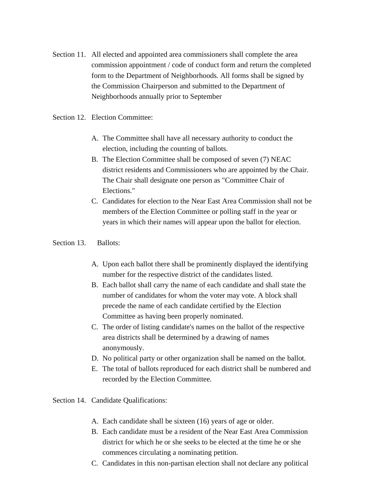Section 11. All elected and appointed area commissioners shall complete the area commission appointment / code of conduct form and return the completed form to the Department of Neighborhoods. All forms shall be signed by the Commission Chairperson and submitted to the Department of Neighborhoods annually prior to September

Section 12. Election Committee:

- A. The Committee shall have all necessary authority to conduct the election, including the counting of ballots.
- B. The Election Committee shall be composed of seven (7) NEAC district residents and Commissioners who are appointed by the Chair. The Chair shall designate one person as "Committee Chair of Elections."
- C. Candidates for election to the Near East Area Commission shall not be members of the Election Committee or polling staff in the year or years in which their names will appear upon the ballot for election.

#### Section 13. Ballots:

- A. Upon each ballot there shall be prominently displayed the identifying number for the respective district of the candidates listed.
- B. Each ballot shall carry the name of each candidate and shall state the number of candidates for whom the voter may vote. A block shall precede the name of each candidate certified by the Election Committee as having been properly nominated.
- C. The order of listing candidate's names on the ballot of the respective area districts shall be determined by a drawing of names anonymously.
- D. No political party or other organization shall be named on the ballot.
- E. The total of ballots reproduced for each district shall be numbered and recorded by the Election Committee.

Section 14. Candidate Qualifications:

- A. Each candidate shall be sixteen (16) years of age or older.
- B. Each candidate must be a resident of the Near East Area Commission district for which he or she seeks to be elected at the time he or she commences circulating a nominating petition.
- C. Candidates in this non-partisan election shall not declare any political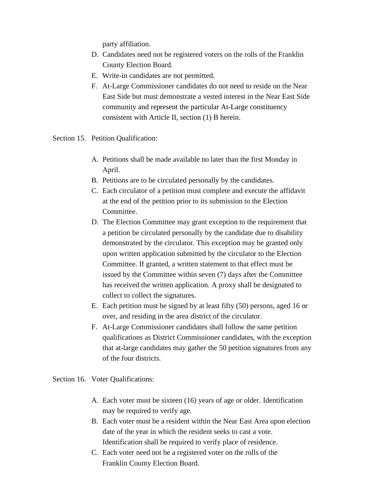party affiliation.

- D. Candidates need not be registered voters on the rolls of the Franklin County Election Board.
- E. Write-in candidates are not permitted.
- F. At-Large Commissioner candidates do not need to reside on the Near East Side but must demonstrate a vested interest in the Near East Side community and represent the particular At-Large constituency consistent with Article II, section (1) B herein.
- Section 15. Petition Qualification:
	- A. Petitions shall be made available no later than the first Monday in April.
	- B. Petitions are to be circulated personally by the candidates.
	- C. Each circulator of a petition must complete and execute the affidavit at the end of the petition prior to its submission to the Election Committee.
	- D. The Election Committee may grant exception to the requirement that a petition be circulated personally by the candidate due to disability demonstrated by the circulator. This exception may be granted only upon written application submitted by the circulator to the Election Committee. If granted, a written statement to that effect must be issued by the Committee within seven (7) days after the Committee has received the written application. A proxy shall be designated to collect to collect the signatures.
	- E. Each petition must be signed by at least fifty (50) persons, aged 16 or over, and residing in the area district of the circulator.
	- F. At-Large Commissioner candidates shall follow the same petition qualifications as District Commissioner candidates, with the exception that at-large candidates may gather the 50 petition signatures from any of the four districts.

Section 16. Voter Qualifications:

- A. Each voter must be sixteen (16) years of age or older. Identification may be required to verify age.
- B. Each voter must be a resident within the Near East Area upon election date of the year in which the resident seeks to cast a vote. Identification shall be required to verify place of residence.
- C. Each voter need not be a registered voter on the rolls of the Franklin County Election Board.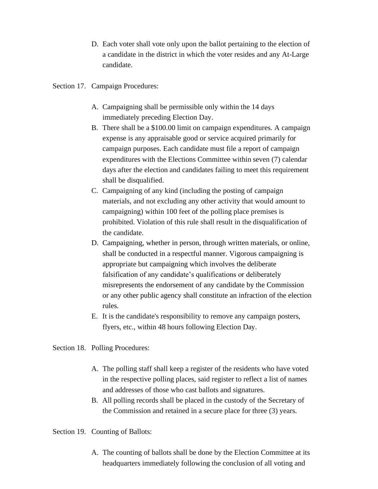- D. Each voter shall vote only upon the ballot pertaining to the election of a candidate in the district in which the voter resides and any At-Large candidate.
- Section 17. Campaign Procedures:
	- A. Campaigning shall be permissible only within the 14 days immediately preceding Election Day.
	- B. There shall be a \$100.00 limit on campaign expenditures. A campaign expense is any appraisable good or service acquired primarily for campaign purposes. Each candidate must file a report of campaign expenditures with the Elections Committee within seven (7) calendar days after the election and candidates failing to meet this requirement shall be disqualified.
	- C. Campaigning of any kind (including the posting of campaign materials, and not excluding any other activity that would amount to campaigning) within 100 feet of the polling place premises is prohibited. Violation of this rule shall result in the disqualification of the candidate.
	- D. Campaigning, whether in person, through written materials, or online, shall be conducted in a respectful manner. Vigorous campaigning is appropriate but campaigning which involves the deliberate falsification of any candidate's qualifications or deliberately misrepresents the endorsement of any candidate by the Commission or any other public agency shall constitute an infraction of the election rules.
	- E. It is the candidate's responsibility to remove any campaign posters, flyers, etc., within 48 hours following Election Day.

Section 18. Polling Procedures:

- A. The polling staff shall keep a register of the residents who have voted in the respective polling places, said register to reflect a list of names and addresses of those who cast ballots and signatures.
- B. All polling records shall be placed in the custody of the Secretary of the Commission and retained in a secure place for three (3) years.

Section 19. Counting of Ballots:

A. The counting of ballots shall be done by the Election Committee at its headquarters immediately following the conclusion of all voting and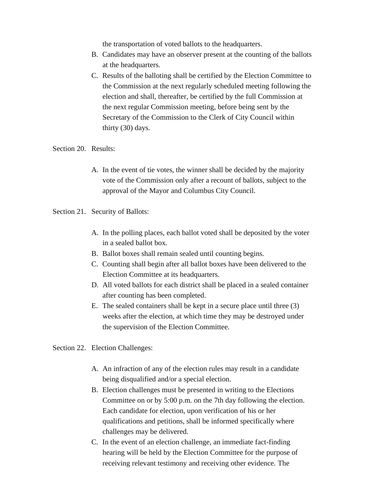the transportation of voted ballots to the headquarters.

- B. Candidates may have an observer present at the counting of the ballots at the headquarters.
- C. Results of the balloting shall be certified by the Election Committee to the Commission at the next regularly scheduled meeting following the election and shall, thereafter, be certified by the full Commission at the next regular Commission meeting, before being sent by the Secretary of the Commission to the Clerk of City Council within thirty (30) days.

#### Section 20. Results:

- A. In the event of tie votes, the winner shall be decided by the majority vote of the Commission only after a recount of ballots, subject to the approval of the Mayor and Columbus City Council.
- Section 21. Security of Ballots:
	- A. In the polling places, each ballot voted shall be deposited by the voter in a sealed ballot box.
	- B. Ballot boxes shall remain sealed until counting begins.
	- C. Counting shall begin after all ballot boxes have been delivered to the Election Committee at its headquarters.
	- D. All voted ballots for each district shall be placed in a sealed container after counting has been completed.
	- E. The sealed containers shall be kept in a secure place until three (3) weeks after the election, at which time they may be destroyed under the supervision of the Election Committee.

Section 22. Election Challenges:

- A. An infraction of any of the election rules may result in a candidate being disqualified and/or a special election.
- B. Election challenges must be presented in writing to the Elections Committee on or by 5:00 p.m. on the 7th day following the election. Each candidate for election, upon verification of his or her qualifications and petitions, shall be informed specifically where challenges may be delivered.
- C. In the event of an election challenge, an immediate fact-finding hearing will be held by the Election Committee for the purpose of receiving relevant testimony and receiving other evidence. The